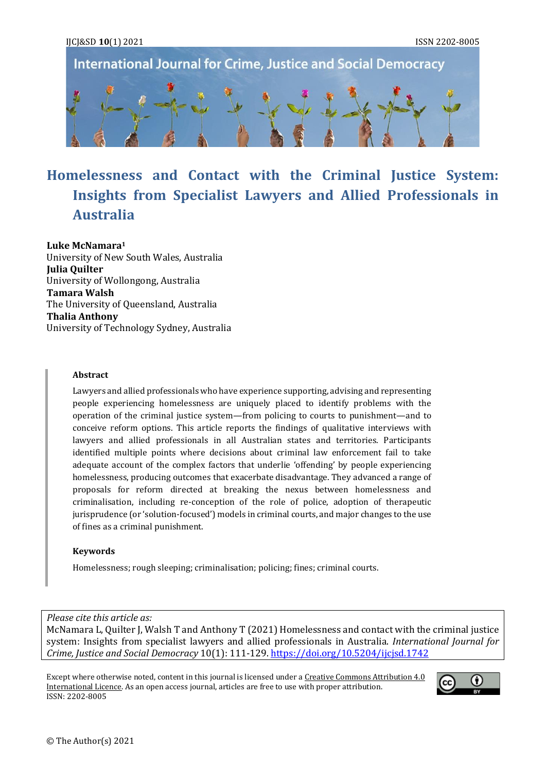**International Journal for Crime, Justice and Social Democracy** 



# **Homelessness and Contact with the Criminal Justice System: Insights from Specialist Lawyers and Allied Professionals in Australia**

**Luke McNamara<sup>1</sup>** University of New South Wales, Australia **Julia Quilter** University of Wollongong, Australia **Tamara Walsh** The University of Queensland, Australia **Thalia Anthony** University of Technology Sydney, Australia

#### **Abstract**

Lawyers and allied professionals who have experience supporting, advising and representing people experiencing homelessness are uniquely placed to identify problems with the operation of the criminal justice system—from policing to courts to punishment—and to conceive reform options. This article reports the findings of qualitative interviews with lawyers and allied professionals in all Australian states and territories. Participants identified multiple points where decisions about criminal law enforcement fail to take adequate account of the complex factors that underlie 'offending' by people experiencing homelessness, producing outcomes that exacerbate disadvantage. They advanced a range of proposals for reform directed at breaking the nexus between homelessness and criminalisation, including re-conception of the role of police, adoption of therapeutic jurisprudence (or 'solution-focused') models in criminal courts, and major changes to the use of fines as a criminal punishment.

#### **Keywords**

Homelessness; rough sleeping; criminalisation; policing; fines; criminal courts.

*Please cite this article as:*

McNamara L, Quilter J, Walsh T and Anthony T (2021) Homelessness and contact with the criminal justice system: Insights from specialist lawyers and allied professionals in Australia. *International Journal for Crime, Justice and Social Democracy* 10(1): 111-129[. https://doi.org/10.5204/ijcjsd.1742](https://doi.org/10.5204/ijcjsd.1742)

Except where otherwise noted, content in this journal is licensed under [a Creative Commons Attribution 4.0](https://creativecommons.org/licenses/by/4.0/)  [International Licence.](https://creativecommons.org/licenses/by/4.0/) As an open access journal, articles are free to use with proper attribution. ISSN: 2202-8005

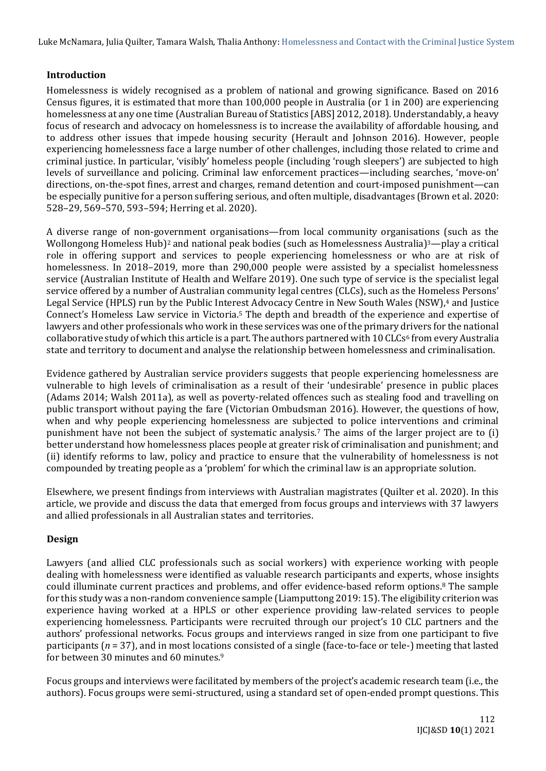## **Introduction**

Homelessness is widely recognised as a problem of national and growing significance. Based on 2016 Census figures, it is estimated that more than 100,000 people in Australia (or 1 in 200) are experiencing homelessness at any one time (Australian Bureau of Statistics [ABS] 2012, 2018). Understandably, a heavy focus of research and advocacy on homelessness is to increase the availability of affordable housing, and to address other issues that impede housing security (Herault and Johnson 2016). However, people experiencing homelessness face a large number of other challenges, including those related to crime and criminal justice. In particular, 'visibly' homeless people (including 'rough sleepers') are subjected to high levels of surveillance and policing. Criminal law enforcement practices—including searches, 'move-on' directions, on-the-spot fines, arrest and charges, remand detention and court-imposed punishment—can be especially punitive for a person suffering serious, and often multiple, disadvantages (Brown et al. 2020: 528–29, 569–570, 593–594; Herring et al. 2020).

A diverse range of non-government organisations—from local community organisations (such as the Wollongong Homeless Hub)<sup>2</sup> and national peak bodies (such as Homelessness Australia)<sup>3</sup>—play a critical role in offering support and services to people experiencing homelessness or who are at risk of homelessness. In 2018–2019, more than 290,000 people were assisted by a specialist homelessness service (Australian Institute of Health and Welfare 2019). One such type of service is the specialist legal service offered by a number of Australian community legal centres (CLCs), such as the Homeless Persons' Legal Service (HPLS) run by the Public Interest Advocacy Centre in New South Wales (NSW),<sup>4</sup> and Justice Connect's Homeless Law service in Victoria.<sup>5</sup> The depth and breadth of the experience and expertise of lawyers and other professionals who work in these services was one of the primary drivers for the national collaborative study of which this article is a part. The authors partnered with 10 CLCs<sup>6</sup> from every Australia state and territory to document and analyse the relationship between homelessness and criminalisation.

Evidence gathered by Australian service providers suggests that people experiencing homelessness are vulnerable to high levels of criminalisation as a result of their 'undesirable' presence in public places (Adams 2014; Walsh 2011a), as well as poverty-related offences such as stealing food and travelling on public transport without paying the fare (Victorian Ombudsman 2016). However, the questions of how, when and why people experiencing homelessness are subjected to police interventions and criminal punishment have not been the subject of systematic analysis.<sup>7</sup> The aims of the larger project are to (i) better understand how homelessness places people at greater risk of criminalisation and punishment; and (ii) identify reforms to law, policy and practice to ensure that the vulnerability of homelessness is not compounded by treating people as a 'problem' for which the criminal law is an appropriate solution.

Elsewhere, we present findings from interviews with Australian magistrates (Quilter et al. 2020). In this article, we provide and discuss the data that emerged from focus groups and interviews with 37 lawyers and allied professionals in all Australian states and territories.

#### **Design**

Lawyers (and allied CLC professionals such as social workers) with experience working with people dealing with homelessness were identified as valuable research participants and experts, whose insights could illuminate current practices and problems, and offer evidence-based reform options.<sup>8</sup> The sample for this study was a non-random convenience sample (Liamputtong 2019: 15). The eligibility criterion was experience having worked at a HPLS or other experience providing law-related services to people experiencing homelessness. Participants were recruited through our project's 10 CLC partners and the authors' professional networks. Focus groups and interviews ranged in size from one participant to five participants (*n* = 37), and in most locations consisted of a single (face-to-face or tele-) meeting that lasted for between 30 minutes and 60 minutes.<sup>9</sup>

Focus groups and interviews were facilitated by members of the project's academic research team (i.e., the authors). Focus groups were semi-structured, using a standard set of open-ended prompt questions. This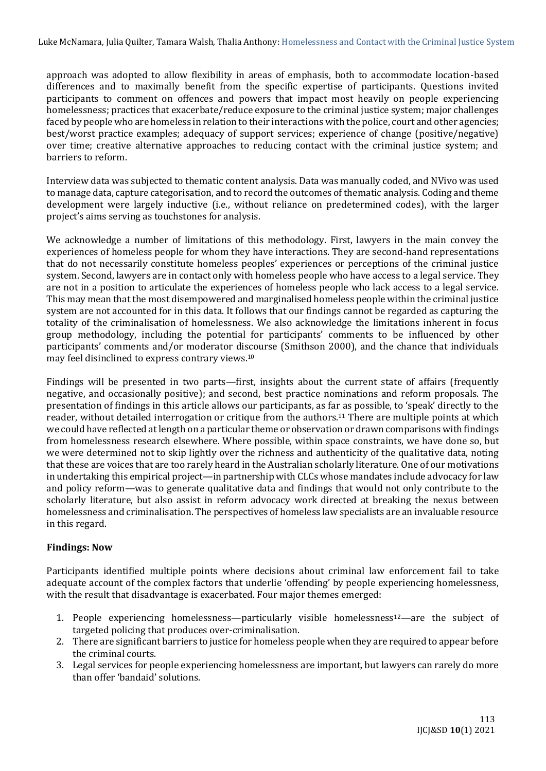approach was adopted to allow flexibility in areas of emphasis, both to accommodate location-based differences and to maximally benefit from the specific expertise of participants. Questions invited participants to comment on offences and powers that impact most heavily on people experiencing homelessness; practices that exacerbate/reduce exposure to the criminal justice system; major challenges faced by people who are homeless in relation to their interactions with the police, court and other agencies; best/worst practice examples; adequacy of support services; experience of change (positive/negative) over time; creative alternative approaches to reducing contact with the criminal justice system; and barriers to reform.

Interview data was subjected to thematic content analysis. Data was manually coded, and NVivo was used to manage data, capture categorisation, and to record the outcomes of thematic analysis. Coding and theme development were largely inductive (i.e., without reliance on predetermined codes), with the larger project's aims serving as touchstones for analysis.

We acknowledge a number of limitations of this methodology. First, lawyers in the main convey the experiences of homeless people for whom they have interactions. They are second-hand representations that do not necessarily constitute homeless peoples' experiences or perceptions of the criminal justice system. Second, lawyers are in contact only with homeless people who have access to a legal service. They are not in a position to articulate the experiences of homeless people who lack access to a legal service. This may mean that the most disempowered and marginalised homeless people within the criminal justice system are not accounted for in this data. It follows that our findings cannot be regarded as capturing the totality of the criminalisation of homelessness. We also acknowledge the limitations inherent in focus group methodology, including the potential for participants' comments to be influenced by other participants' comments and/or moderator discourse (Smithson 2000), and the chance that individuals may feel disinclined to express contrary views.<sup>10</sup>

Findings will be presented in two parts—first, insights about the current state of affairs (frequently negative, and occasionally positive); and second, best practice nominations and reform proposals. The presentation of findings in this article allows our participants, as far as possible, to 'speak' directly to the reader, without detailed interrogation or critique from the authors.<sup>11</sup> There are multiple points at which we could have reflected at length on a particular theme or observation or drawn comparisons with findings from homelessness research elsewhere. Where possible, within space constraints, we have done so, but we were determined not to skip lightly over the richness and authenticity of the qualitative data, noting that these are voices that are too rarely heard in the Australian scholarly literature. One of our motivations in undertaking this empirical project—in partnership with CLCs whose mandates include advocacy for law and policy reform—was to generate qualitative data and findings that would not only contribute to the scholarly literature, but also assist in reform advocacy work directed at breaking the nexus between homelessness and criminalisation. The perspectives of homeless law specialists are an invaluable resource in this regard.

#### **Findings: Now**

Participants identified multiple points where decisions about criminal law enforcement fail to take adequate account of the complex factors that underlie 'offending' by people experiencing homelessness, with the result that disadvantage is exacerbated. Four major themes emerged:

- 1. People experiencing homelessness—particularly visible homelessness12—are the subject of targeted policing that produces over-criminalisation.
- 2. There are significant barriers to justice for homeless people when they are required to appear before the criminal courts.
- 3. Legal services for people experiencing homelessness are important, but lawyers can rarely do more than offer 'bandaid' solutions.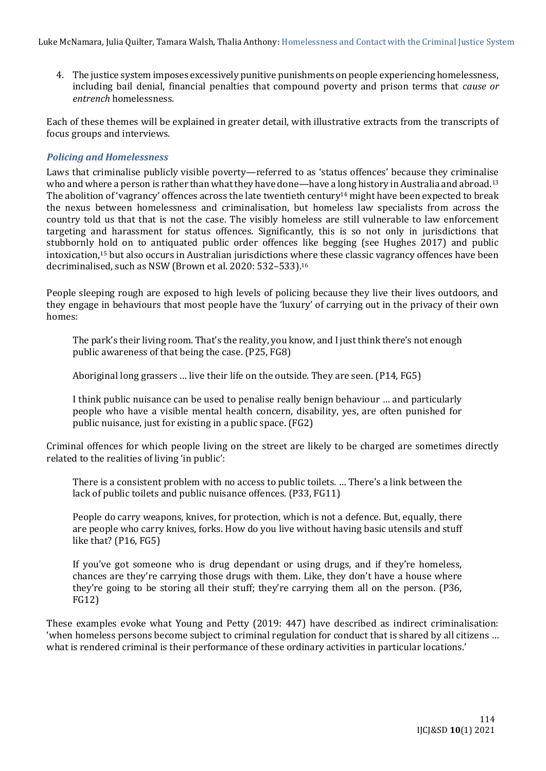4. The justice system imposes excessively punitive punishments on people experiencing homelessness, including bail denial, financial penalties that compound poverty and prison terms that *cause or entrench* homelessness.

Each of these themes will be explained in greater detail, with illustrative extracts from the transcripts of focus groups and interviews.

## *Policing and Homelessness*

Laws that criminalise publicly visible poverty—referred to as 'status offences' because they criminalise who and where a person is rather than what they have done—have a long history in Australia and abroad.<sup>13</sup> The abolition of 'vagrancy' offences across the late twentieth century<sup>14</sup> might have been expected to break the nexus between homelessness and criminalisation, but homeless law specialists from across the country told us that that is not the case. The visibly homeless are still vulnerable to law enforcement targeting and harassment for status offences. Significantly, this is so not only in jurisdictions that stubbornly hold on to antiquated public order offences like begging (see Hughes 2017) and public intoxication,<sup>15</sup> but also occurs in Australian jurisdictions where these classic vagrancy offences have been decriminalised, such as NSW (Brown et al. 2020: 532–533).<sup>16</sup>

People sleeping rough are exposed to high levels of policing because they live their lives outdoors, and they engage in behaviours that most people have the 'luxury' of carrying out in the privacy of their own homes:

The park's their living room. That's the reality, you know, and I just think there's not enough public awareness of that being the case. (P25, FG8)

Aboriginal long grassers … live their life on the outside. They are seen. (P14, FG5)

I think public nuisance can be used to penalise really benign behaviour … and particularly people who have a visible mental health concern, disability, yes, are often punished for public nuisance, just for existing in a public space. (FG2)

Criminal offences for which people living on the street are likely to be charged are sometimes directly related to the realities of living 'in public':

There is a consistent problem with no access to public toilets. … There's a link between the lack of public toilets and public nuisance offences. (P33, FG11)

People do carry weapons, knives, for protection, which is not a defence. But, equally, there are people who carry knives, forks. How do you live without having basic utensils and stuff like that? (P16, FG5)

If you've got someone who is drug dependant or using drugs, and if they're homeless, chances are they're carrying those drugs with them. Like, they don't have a house where they're going to be storing all their stuff; they're carrying them all on the person. (P36, FG12)

These examples evoke what Young and Petty (2019: 447) have described as indirect criminalisation: 'when homeless persons become subject to criminal regulation for conduct that is shared by all citizens … what is rendered criminal is their performance of these ordinary activities in particular locations.'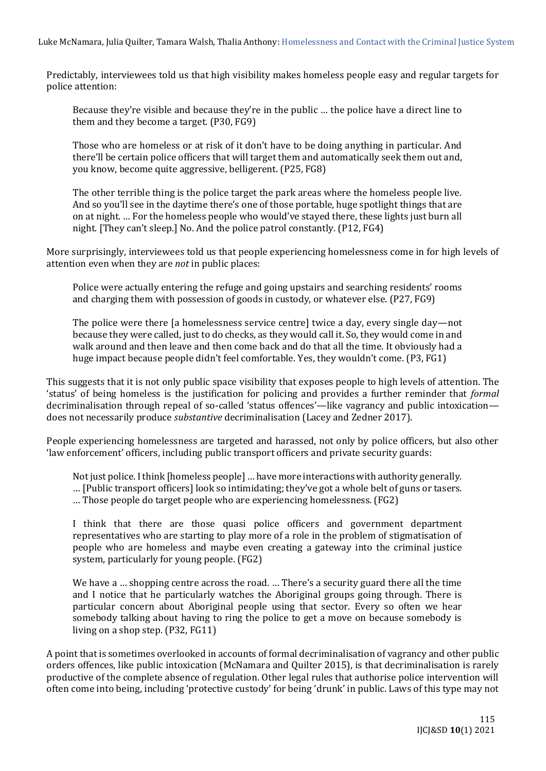Predictably, interviewees told us that high visibility makes homeless people easy and regular targets for police attention:

Because they're visible and because they're in the public … the police have a direct line to them and they become a target. (P30, FG9)

Those who are homeless or at risk of it don't have to be doing anything in particular. And there'll be certain police officers that will target them and automatically seek them out and, you know, become quite aggressive, belligerent. (P25, FG8)

The other terrible thing is the police target the park areas where the homeless people live. And so you'll see in the daytime there's one of those portable, huge spotlight things that are on at night. … For the homeless people who would've stayed there, these lights just burn all night. [They can't sleep.] No. And the police patrol constantly. (P12, FG4)

More surprisingly, interviewees told us that people experiencing homelessness come in for high levels of attention even when they are *not* in public places:

Police were actually entering the refuge and going upstairs and searching residents' rooms and charging them with possession of goods in custody, or whatever else. (P27, FG9)

The police were there [a homelessness service centre] twice a day, every single day—not because they were called, just to do checks, as they would call it. So, they would come in and walk around and then leave and then come back and do that all the time. It obviously had a huge impact because people didn't feel comfortable. Yes, they wouldn't come. (P3, FG1)

This suggests that it is not only public space visibility that exposes people to high levels of attention. The 'status' of being homeless is the justification for policing and provides a further reminder that *formal*  decriminalisation through repeal of so-called 'status offences'—like vagrancy and public intoxication does not necessarily produce *substantive* decriminalisation (Lacey and Zedner 2017).

People experiencing homelessness are targeted and harassed, not only by police officers, but also other 'law enforcement' officers, including public transport officers and private security guards:

Not just police. I think [homeless people] … have more interactions with authority generally. … [Public transport officers] look so intimidating; they've got a whole belt of guns or tasers.

… Those people do target people who are experiencing homelessness. (FG2)

I think that there are those quasi police officers and government department representatives who are starting to play more of a role in the problem of stigmatisation of people who are homeless and maybe even creating a gateway into the criminal justice system, particularly for young people. (FG2)

We have a ... shopping centre across the road. ... There's a security guard there all the time and I notice that he particularly watches the Aboriginal groups going through. There is particular concern about Aboriginal people using that sector. Every so often we hear somebody talking about having to ring the police to get a move on because somebody is living on a shop step. (P32, FG11)

A point that is sometimes overlooked in accounts of formal decriminalisation of vagrancy and other public orders offences, like public intoxication (McNamara and Quilter 2015), is that decriminalisation is rarely productive of the complete absence of regulation. Other legal rules that authorise police intervention will often come into being, including 'protective custody' for being 'drunk' in public. Laws of this type may not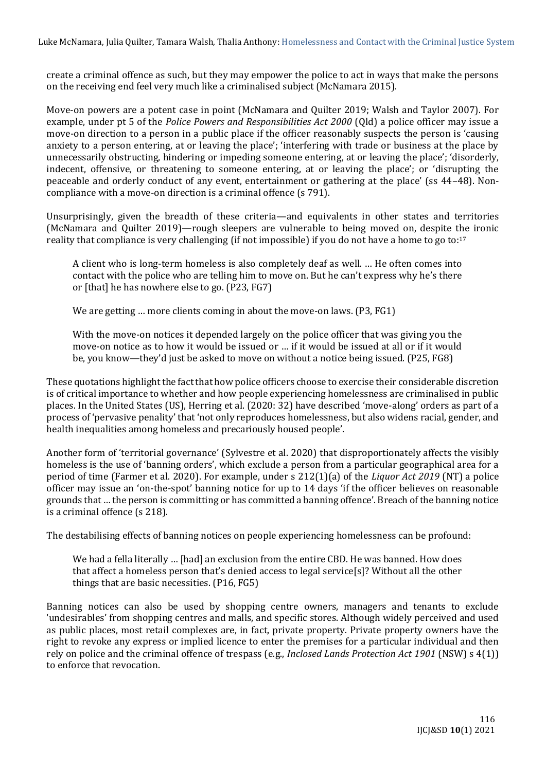create a criminal offence as such, but they may empower the police to act in ways that make the persons on the receiving end feel very much like a criminalised subject (McNamara 2015).

Move-on powers are a potent case in point (McNamara and Quilter 2019; Walsh and Taylor 2007). For example, under pt 5 of the *Police Powers and Responsibilities Act 2000* (Qld) a police officer may issue a move-on direction to a person in a public place if the officer reasonably suspects the person is 'causing anxiety to a person entering, at or leaving the place'; 'interfering with trade or business at the place by unnecessarily obstructing, hindering or impeding someone entering, at or leaving the place'; 'disorderly, indecent, offensive, or threatening to someone entering, at or leaving the place'; or 'disrupting the peaceable and orderly conduct of any event, entertainment or gathering at the place' (ss 44–48). Noncompliance with a move-on direction is a criminal offence (s 791).

Unsurprisingly, given the breadth of these criteria—and equivalents in other states and territories (McNamara and Quilter 2019)—rough sleepers are vulnerable to being moved on, despite the ironic reality that compliance is very challenging (if not impossible) if you do not have a home to go to:<sup>17</sup>

A client who is long-term homeless is also completely deaf as well. … He often comes into contact with the police who are telling him to move on. But he can't express why he's there or [that] he has nowhere else to go. (P23, FG7)

We are getting … more clients coming in about the move-on laws. (P3, FG1)

With the move-on notices it depended largely on the police officer that was giving you the move-on notice as to how it would be issued or … if it would be issued at all or if it would be, you know—they'd just be asked to move on without a notice being issued. (P25, FG8)

These quotations highlight the fact that how police officers choose to exercise their considerable discretion is of critical importance to whether and how people experiencing homelessness are criminalised in public places. In the United States (US), Herring et al. (2020: 32) have described 'move-along' orders as part of a process of 'pervasive penality' that 'not only reproduces homelessness, but also widens racial, gender, and health inequalities among homeless and precariously housed people'.

Another form of 'territorial governance' (Sylvestre et al. 2020) that disproportionately affects the visibly homeless is the use of 'banning orders', which exclude a person from a particular geographical area for a period of time (Farmer et al. 2020). For example, under s 212(1)(a) of the *Liquor Act 2019* (NT) a police officer may issue an 'on-the-spot' banning notice for up to 14 days 'if the officer believes on reasonable grounds that … the person is committing or has committed a banning offence'. Breach of the banning notice is a criminal offence (s 218).

The destabilising effects of banning notices on people experiencing homelessness can be profound:

We had a fella literally … [had] an exclusion from the entire CBD. He was banned. How does that affect a homeless person that's denied access to legal service[s]? Without all the other things that are basic necessities. (P16, FG5)

Banning notices can also be used by shopping centre owners, managers and tenants to exclude 'undesirables' from shopping centres and malls, and specific stores. Although widely perceived and used as public places, most retail complexes are, in fact, private property. Private property owners have the right to revoke any express or implied licence to enter the premises for a particular individual and then rely on police and the criminal offence of trespass (e.g., *Inclosed Lands Protection Act 1901* (NSW) s 4(1)) to enforce that revocation.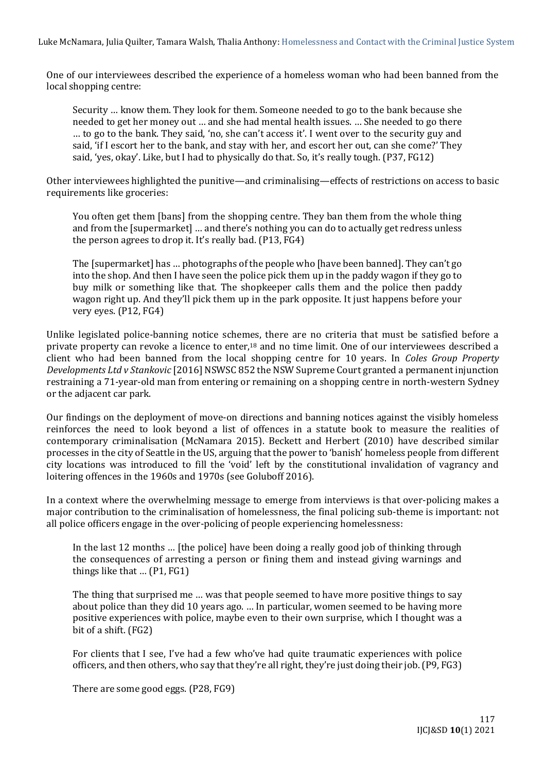One of our interviewees described the experience of a homeless woman who had been banned from the local shopping centre:

Security … know them. They look for them. Someone needed to go to the bank because she needed to get her money out … and she had mental health issues. … She needed to go there … to go to the bank. They said, 'no, she can't access it'. I went over to the security guy and said, 'if I escort her to the bank, and stay with her, and escort her out, can she come?' They said, 'yes, okay'. Like, but I had to physically do that. So, it's really tough. (P37, FG12)

Other interviewees highlighted the punitive—and criminalising—effects of restrictions on access to basic requirements like groceries:

You often get them [bans] from the shopping centre. They ban them from the whole thing and from the [supermarket] … and there's nothing you can do to actually get redress unless the person agrees to drop it. It's really bad. (P13, FG4)

The [supermarket] has … photographs of the people who [have been banned]. They can't go into the shop. And then I have seen the police pick them up in the paddy wagon if they go to buy milk or something like that. The shopkeeper calls them and the police then paddy wagon right up. And they'll pick them up in the park opposite. It just happens before your very eyes. (P12, FG4)

Unlike legislated police-banning notice schemes, there are no criteria that must be satisfied before a private property can revoke a licence to enter,<sup>18</sup> and no time limit. One of our interviewees described a client who had been banned from the local shopping centre for 10 years. In *Coles Group Property Developments Ltd v Stankovic* [2016] NSWSC 852 the NSW Supreme Court granted a permanent injunction restraining a 71-year-old man from entering or remaining on a shopping centre in north-western Sydney or the adjacent car park.

Our findings on the deployment of move-on directions and banning notices against the visibly homeless reinforces the need to look beyond a list of offences in a statute book to measure the realities of contemporary criminalisation (McNamara 2015). Beckett and Herbert (2010) have described similar processes in the city of Seattle in the US, arguing that the power to 'banish' homeless people from different city locations was introduced to fill the 'void' left by the constitutional invalidation of vagrancy and loitering offences in the 1960s and 1970s (see Goluboff 2016).

In a context where the overwhelming message to emerge from interviews is that over-policing makes a major contribution to the criminalisation of homelessness, the final policing sub-theme is important: not all police officers engage in the over-policing of people experiencing homelessness:

In the last 12 months … [the police] have been doing a really good job of thinking through the consequences of arresting a person or fining them and instead giving warnings and things like that … (P1, FG1)

The thing that surprised me … was that people seemed to have more positive things to say about police than they did 10 years ago. … In particular, women seemed to be having more positive experiences with police, maybe even to their own surprise, which I thought was a bit of a shift. (FG2)

For clients that I see, I've had a few who've had quite traumatic experiences with police officers, and then others, who say that they're all right, they're just doing their job. (P9, FG3)

There are some good eggs. (P28, FG9)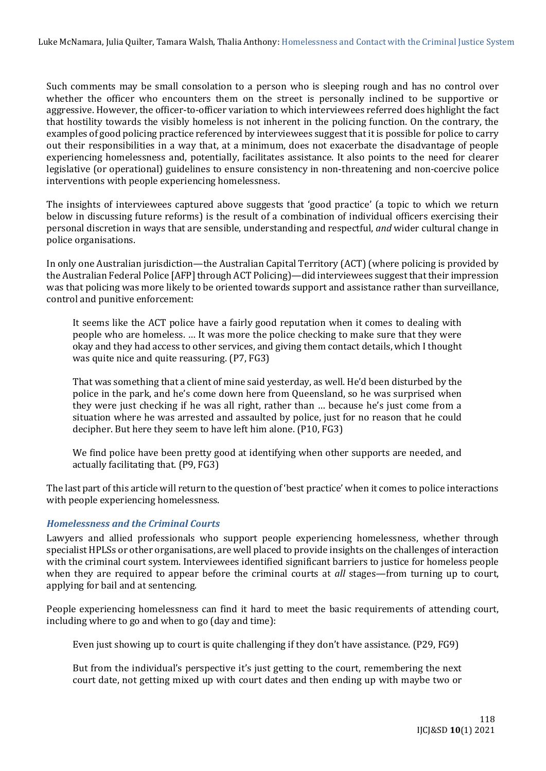Such comments may be small consolation to a person who is sleeping rough and has no control over whether the officer who encounters them on the street is personally inclined to be supportive or aggressive. However, the officer-to-officer variation to which interviewees referred does highlight the fact that hostility towards the visibly homeless is not inherent in the policing function. On the contrary, the examples of good policing practice referenced by interviewees suggest that it is possible for police to carry out their responsibilities in a way that, at a minimum, does not exacerbate the disadvantage of people experiencing homelessness and, potentially, facilitates assistance. It also points to the need for clearer legislative (or operational) guidelines to ensure consistency in non-threatening and non-coercive police interventions with people experiencing homelessness.

The insights of interviewees captured above suggests that 'good practice' (a topic to which we return below in discussing future reforms) is the result of a combination of individual officers exercising their personal discretion in ways that are sensible, understanding and respectful, *and* wider cultural change in police organisations.

In only one Australian jurisdiction—the Australian Capital Territory (ACT) (where policing is provided by the Australian Federal Police [AFP] through ACT Policing)—did interviewees suggest that their impression was that policing was more likely to be oriented towards support and assistance rather than surveillance, control and punitive enforcement:

It seems like the ACT police have a fairly good reputation when it comes to dealing with people who are homeless. … It was more the police checking to make sure that they were okay and they had access to other services, and giving them contact details, which I thought was quite nice and quite reassuring. (P7, FG3)

That was something that a client of mine said yesterday, as well. He'd been disturbed by the police in the park, and he's come down here from Queensland, so he was surprised when they were just checking if he was all right, rather than … because he's just come from a situation where he was arrested and assaulted by police, just for no reason that he could decipher. But here they seem to have left him alone. (P10, FG3)

We find police have been pretty good at identifying when other supports are needed, and actually facilitating that. (P9, FG3)

The last part of this article will return to the question of 'best practice' when it comes to police interactions with people experiencing homelessness.

# *Homelessness and the Criminal Courts*

Lawyers and allied professionals who support people experiencing homelessness, whether through specialist HPLSs or other organisations, are well placed to provide insights on the challenges of interaction with the criminal court system. Interviewees identified significant barriers to justice for homeless people when they are required to appear before the criminal courts at *all* stages—from turning up to court, applying for bail and at sentencing.

People experiencing homelessness can find it hard to meet the basic requirements of attending court, including where to go and when to go (day and time):

Even just showing up to court is quite challenging if they don't have assistance. (P29, FG9)

But from the individual's perspective it's just getting to the court, remembering the next court date, not getting mixed up with court dates and then ending up with maybe two or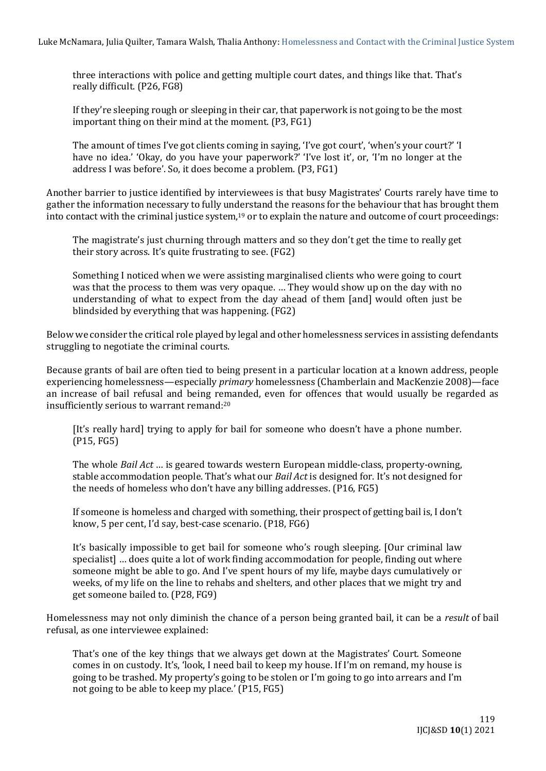three interactions with police and getting multiple court dates, and things like that. That's really difficult. (P26, FG8)

If they're sleeping rough or sleeping in their car, that paperwork is not going to be the most important thing on their mind at the moment. (P3, FG1)

The amount of times I've got clients coming in saying, 'I've got court', 'when's your court?' 'I have no idea.' 'Okay, do you have your paperwork?' 'I've lost it', or, 'I'm no longer at the address I was before'. So, it does become a problem. (P3, FG1)

Another barrier to justice identified by interviewees is that busy Magistrates' Courts rarely have time to gather the information necessary to fully understand the reasons for the behaviour that has brought them into contact with the criminal justice system,<sup>19</sup> or to explain the nature and outcome of court proceedings:

The magistrate's just churning through matters and so they don't get the time to really get their story across. It's quite frustrating to see. (FG2)

Something I noticed when we were assisting marginalised clients who were going to court was that the process to them was very opaque. … They would show up on the day with no understanding of what to expect from the day ahead of them [and] would often just be blindsided by everything that was happening. (FG2)

Below we consider the critical role played by legal and other homelessness services in assisting defendants struggling to negotiate the criminal courts.

Because grants of bail are often tied to being present in a particular location at a known address, people experiencing homelessness—especially *primary* homelessness (Chamberlain and MacKenzie 2008)—face an increase of bail refusal and being remanded, even for offences that would usually be regarded as insufficiently serious to warrant remand:<sup>20</sup>

[It's really hard] trying to apply for bail for someone who doesn't have a phone number. (P15, FG5)

The whole *Bail Act* … is geared towards western European middle-class, property-owning, stable accommodation people. That's what our *Bail Act* is designed for. It's not designed for the needs of homeless who don't have any billing addresses. (P16, FG5)

If someone is homeless and charged with something, their prospect of getting bail is, I don't know, 5 per cent, I'd say, best-case scenario. (P18, FG6)

It's basically impossible to get bail for someone who's rough sleeping. [Our criminal law specialist] … does quite a lot of work finding accommodation for people, finding out where someone might be able to go. And I've spent hours of my life, maybe days cumulatively or weeks, of my life on the line to rehabs and shelters, and other places that we might try and get someone bailed to. (P28, FG9)

Homelessness may not only diminish the chance of a person being granted bail, it can be a *result* of bail refusal, as one interviewee explained:

That's one of the key things that we always get down at the Magistrates' Court. Someone comes in on custody. It's, 'look, I need bail to keep my house. If I'm on remand, my house is going to be trashed. My property's going to be stolen or I'm going to go into arrears and I'm not going to be able to keep my place.' (P15, FG5)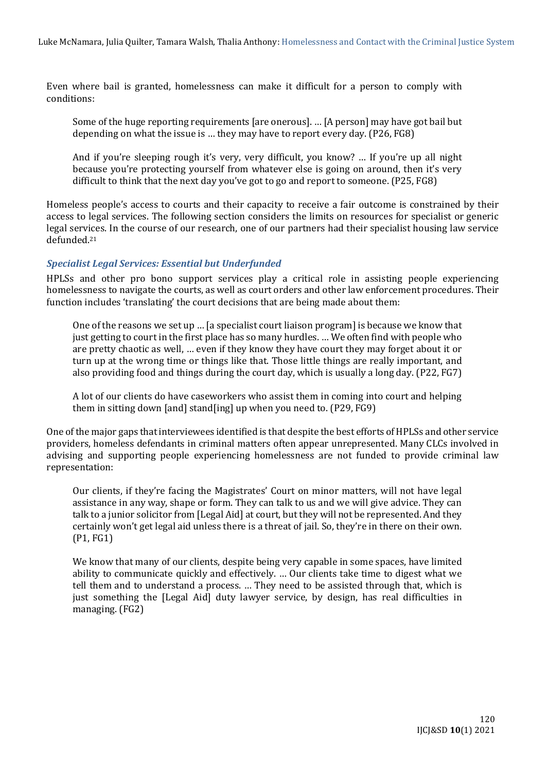Even where bail is granted, homelessness can make it difficult for a person to comply with conditions:

Some of the huge reporting requirements [are onerous]. … [A person] may have got bail but depending on what the issue is … they may have to report every day. (P26, FG8)

And if you're sleeping rough it's very, very difficult, you know? … If you're up all night because you're protecting yourself from whatever else is going on around, then it's very difficult to think that the next day you've got to go and report to someone. (P25, FG8)

Homeless people's access to courts and their capacity to receive a fair outcome is constrained by their access to legal services. The following section considers the limits on resources for specialist or generic legal services. In the course of our research, one of our partners had their specialist housing law service defunded.<sup>21</sup>

## *Specialist Legal Services: Essential but Underfunded*

HPLSs and other pro bono support services play a critical role in assisting people experiencing homelessness to navigate the courts, as well as court orders and other law enforcement procedures. Their function includes 'translating' the court decisions that are being made about them:

One of the reasons we set up … [a specialist court liaison program] is because we know that just getting to court in the first place has so many hurdles. … We often find with people who are pretty chaotic as well, … even if they know they have court they may forget about it or turn up at the wrong time or things like that. Those little things are really important, and also providing food and things during the court day, which is usually a long day. (P22, FG7)

A lot of our clients do have caseworkers who assist them in coming into court and helping them in sitting down [and] stand[ing] up when you need to. (P29, FG9)

One of the major gaps that interviewees identified is that despite the best efforts of HPLSs and other service providers, homeless defendants in criminal matters often appear unrepresented. Many CLCs involved in advising and supporting people experiencing homelessness are not funded to provide criminal law representation:

Our clients, if they're facing the Magistrates' Court on minor matters, will not have legal assistance in any way, shape or form. They can talk to us and we will give advice. They can talk to a junior solicitor from [Legal Aid] at court, but they will not be represented. And they certainly won't get legal aid unless there is a threat of jail. So, they're in there on their own. (P1, FG1)

We know that many of our clients, despite being very capable in some spaces, have limited ability to communicate quickly and effectively. … Our clients take time to digest what we tell them and to understand a process. … They need to be assisted through that, which is just something the [Legal Aid] duty lawyer service, by design, has real difficulties in managing. (FG2)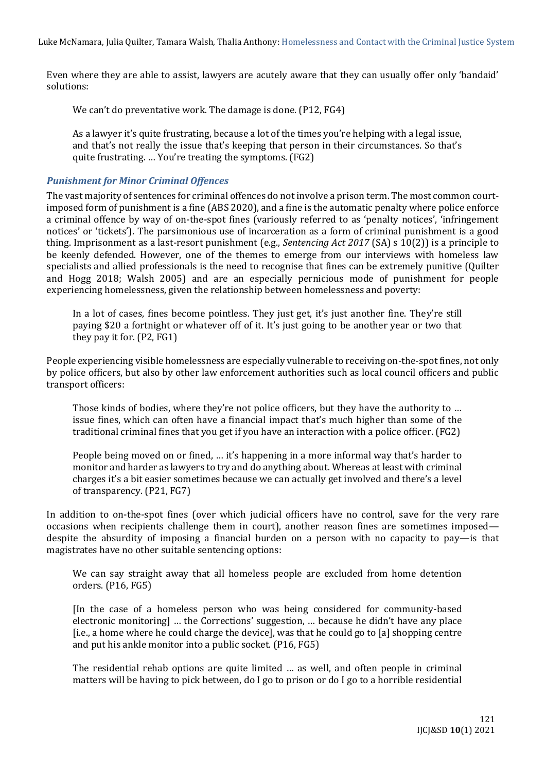Even where they are able to assist, lawyers are acutely aware that they can usually offer only 'bandaid' solutions:

We can't do preventative work. The damage is done. (P12, FG4)

As a lawyer it's quite frustrating, because a lot of the times you're helping with a legal issue, and that's not really the issue that's keeping that person in their circumstances. So that's quite frustrating. … You're treating the symptoms. (FG2)

#### *Punishment for Minor Criminal Offences*

The vast majority of sentences for criminal offences do not involve a prison term. The most common courtimposed form of punishment is a fine (ABS 2020), and a fine is the automatic penalty where police enforce a criminal offence by way of on-the-spot fines (variously referred to as 'penalty notices', 'infringement notices' or 'tickets'). The parsimonious use of incarceration as a form of criminal punishment is a good thing. Imprisonment as a last-resort punishment (e.g., *Sentencing Act 2017* (SA) s 10(2)) is a principle to be keenly defended. However, one of the themes to emerge from our interviews with homeless law specialists and allied professionals is the need to recognise that fines can be extremely punitive (Quilter and Hogg 2018; Walsh 2005) and are an especially pernicious mode of punishment for people experiencing homelessness, given the relationship between homelessness and poverty:

In a lot of cases, fines become pointless. They just get, it's just another fine. They're still paying \$20 a fortnight or whatever off of it. It's just going to be another year or two that they pay it for. (P2, FG1)

People experiencing visible homelessness are especially vulnerable to receiving on-the-spot fines, not only by police officers, but also by other law enforcement authorities such as local council officers and public transport officers:

Those kinds of bodies, where they're not police officers, but they have the authority to … issue fines, which can often have a financial impact that's much higher than some of the traditional criminal fines that you get if you have an interaction with a police officer. (FG2)

People being moved on or fined, … it's happening in a more informal way that's harder to monitor and harder as lawyers to try and do anything about. Whereas at least with criminal charges it's a bit easier sometimes because we can actually get involved and there's a level of transparency. (P21, FG7)

In addition to on-the-spot fines (over which judicial officers have no control, save for the very rare occasions when recipients challenge them in court), another reason fines are sometimes imposed despite the absurdity of imposing a financial burden on a person with no capacity to pay—is that magistrates have no other suitable sentencing options:

We can say straight away that all homeless people are excluded from home detention orders. (P16, FG5)

[In the case of a homeless person who was being considered for community-based electronic monitoring] … the Corrections' suggestion, … because he didn't have any place [i.e., a home where he could charge the device], was that he could go to [a] shopping centre and put his ankle monitor into a public socket. (P16, FG5)

The residential rehab options are quite limited … as well, and often people in criminal matters will be having to pick between, do I go to prison or do I go to a horrible residential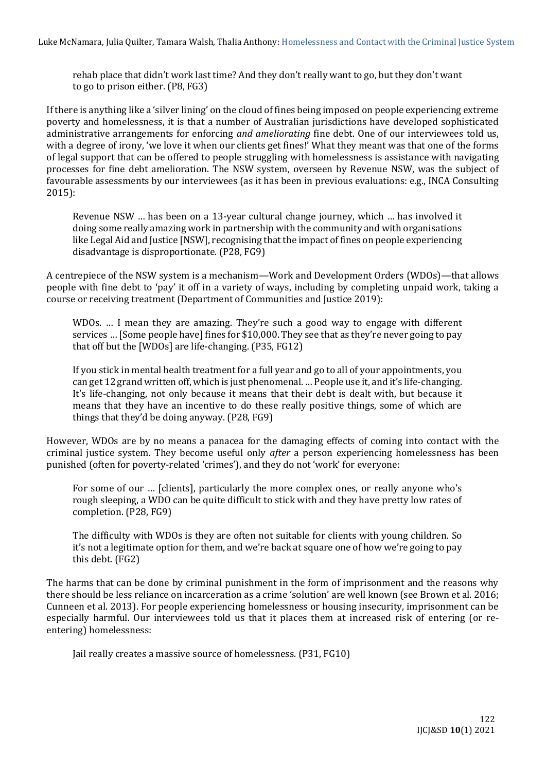rehab place that didn't work last time? And they don't really want to go, but they don't want to go to prison either. (P8, FG3)

If there is anything like a 'silver lining' on the cloud of fines being imposed on people experiencing extreme poverty and homelessness, it is that a number of Australian jurisdictions have developed sophisticated administrative arrangements for enforcing *and ameliorating* fine debt. One of our interviewees told us, with a degree of irony, 'we love it when our clients get fines!' What they meant was that one of the forms of legal support that can be offered to people struggling with homelessness is assistance with navigating processes for fine debt amelioration. The NSW system, overseen by Revenue NSW, was the subject of favourable assessments by our interviewees (as it has been in previous evaluations: e.g., INCA Consulting 2015):

Revenue NSW … has been on a 13-year cultural change journey, which … has involved it doing some really amazing work in partnership with the community and with organisations like Legal Aid and Justice [NSW], recognising that the impact of fines on people experiencing disadvantage is disproportionate. (P28, FG9)

A centrepiece of the NSW system is a mechanism—Work and Development Orders (WDOs)—that allows people with fine debt to 'pay' it off in a variety of ways, including by completing unpaid work, taking a course or receiving treatment (Department of Communities and Justice 2019):

WDOs. … I mean they are amazing. They're such a good way to engage with different services … [Some people have] fines for \$10,000. They see that as they're never going to pay that off but the [WDOs] are life-changing. (P35, FG12)

If you stick in mental health treatment for a full year and go to all of your appointments, you can get 12 grand written off, which is just phenomenal. … People use it, and it's life-changing. It's life-changing, not only because it means that their debt is dealt with, but because it means that they have an incentive to do these really positive things, some of which are things that they'd be doing anyway. (P28, FG9)

However, WDOs are by no means a panacea for the damaging effects of coming into contact with the criminal justice system. They become useful only *after* a person experiencing homelessness has been punished (often for poverty-related 'crimes'), and they do not 'work' for everyone:

For some of our … [clients], particularly the more complex ones, or really anyone who's rough sleeping, a WDO can be quite difficult to stick with and they have pretty low rates of completion. (P28, FG9)

The difficulty with WDOs is they are often not suitable for clients with young children. So it's not a legitimate option for them, and we're back at square one of how we're going to pay this debt. (FG2)

The harms that can be done by criminal punishment in the form of imprisonment and the reasons why there should be less reliance on incarceration as a crime 'solution' are well known (see Brown et al. 2016; Cunneen et al. 2013). For people experiencing homelessness or housing insecurity, imprisonment can be especially harmful. Our interviewees told us that it places them at increased risk of entering (or reentering) homelessness:

Jail really creates a massive source of homelessness. (P31, FG10)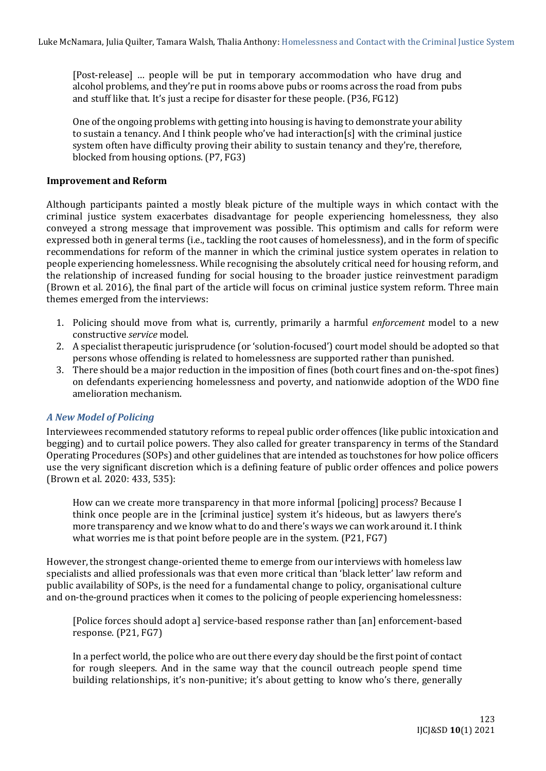[Post-release] … people will be put in temporary accommodation who have drug and alcohol problems, and they're put in rooms above pubs or rooms across the road from pubs and stuff like that. It's just a recipe for disaster for these people. (P36, FG12)

One of the ongoing problems with getting into housing is having to demonstrate your ability to sustain a tenancy. And I think people who've had interaction[s] with the criminal justice system often have difficulty proving their ability to sustain tenancy and they're, therefore, blocked from housing options. (P7, FG3)

#### **Improvement and Reform**

Although participants painted a mostly bleak picture of the multiple ways in which contact with the criminal justice system exacerbates disadvantage for people experiencing homelessness, they also conveyed a strong message that improvement was possible. This optimism and calls for reform were expressed both in general terms (i.e., tackling the root causes of homelessness), and in the form of specific recommendations for reform of the manner in which the criminal justice system operates in relation to people experiencing homelessness. While recognising the absolutely critical need for housing reform, and the relationship of increased funding for social housing to the broader justice reinvestment paradigm (Brown et al. 2016), the final part of the article will focus on criminal justice system reform. Three main themes emerged from the interviews:

- 1. Policing should move from what is, currently, primarily a harmful *enforcement* model to a new constructive *service* model.
- 2. A specialist therapeutic jurisprudence (or 'solution-focused') court model should be adopted so that persons whose offending is related to homelessness are supported rather than punished.
- 3. There should be a major reduction in the imposition of fines (both court fines and on-the-spot fines) on defendants experiencing homelessness and poverty, and nationwide adoption of the WDO fine amelioration mechanism.

#### *A New Model of Policing*

Interviewees recommended statutory reforms to repeal public order offences (like public intoxication and begging) and to curtail police powers. They also called for greater transparency in terms of the Standard Operating Procedures (SOPs) and other guidelines that are intended as touchstones for how police officers use the very significant discretion which is a defining feature of public order offences and police powers (Brown et al. 2020: 433, 535):

How can we create more transparency in that more informal [policing] process? Because I think once people are in the [criminal justice] system it's hideous, but as lawyers there's more transparency and we know what to do and there's ways we can work around it. I think what worries me is that point before people are in the system. (P21, FG7)

However, the strongest change-oriented theme to emerge from our interviews with homeless law specialists and allied professionals was that even more critical than 'black letter' law reform and public availability of SOPs, is the need for a fundamental change to policy, organisational culture and on-the-ground practices when it comes to the policing of people experiencing homelessness:

[Police forces should adopt a] service-based response rather than [an] enforcement-based response. (P21, FG7)

In a perfect world, the police who are out there every day should be the first point of contact for rough sleepers. And in the same way that the council outreach people spend time building relationships, it's non-punitive; it's about getting to know who's there, generally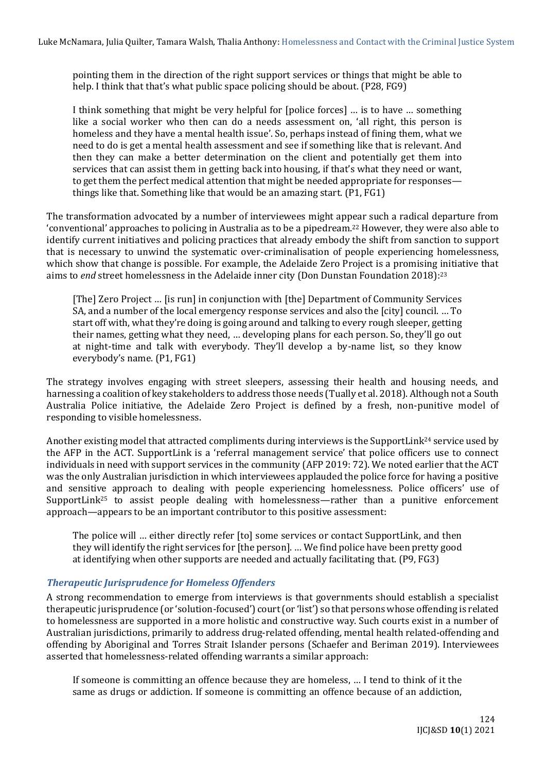pointing them in the direction of the right support services or things that might be able to help. I think that that's what public space policing should be about. (P28, FG9)

I think something that might be very helpful for [police forces] … is to have … something like a social worker who then can do a needs assessment on, 'all right, this person is homeless and they have a mental health issue'. So, perhaps instead of fining them, what we need to do is get a mental health assessment and see if something like that is relevant. And then they can make a better determination on the client and potentially get them into services that can assist them in getting back into housing, if that's what they need or want, to get them the perfect medical attention that might be needed appropriate for responses things like that. Something like that would be an amazing start. (P1, FG1)

The transformation advocated by a number of interviewees might appear such a radical departure from 'conventional' approaches to policing in Australia as to be a pipedream.<sup>22</sup> However, they were also able to identify current initiatives and policing practices that already embody the shift from sanction to support that is necessary to unwind the systematic over-criminalisation of people experiencing homelessness, which show that change is possible. For example, the Adelaide Zero Project is a promising initiative that aims to *end* street homelessness in the Adelaide inner city (Don Dunstan Foundation 2018): 23

[The] Zero Project … [is run] in conjunction with [the] Department of Community Services SA, and a number of the local emergency response services and also the [city] council. … To start off with, what they're doing is going around and talking to every rough sleeper, getting their names, getting what they need, … developing plans for each person. So, they'll go out at night-time and talk with everybody. They'll develop a by-name list, so they know everybody's name. (P1, FG1)

The strategy involves engaging with street sleepers, assessing their health and housing needs, and harnessing a coalition of key stakeholders to address those needs (Tually et al. 2018). Although not a South Australia Police initiative, the Adelaide Zero Project is defined by a fresh, non-punitive model of responding to visible homelessness.

Another existing model that attracted compliments during interviews is the SupportLink<sup>24</sup> service used by the AFP in the ACT. SupportLink is a 'referral management service' that police officers use to connect individuals in need with support services in the community (AFP 2019: 72). We noted earlier that the ACT was the only Australian jurisdiction in which interviewees applauded the police force for having a positive and sensitive approach to dealing with people experiencing homelessness. Police officers' use of SupportLink<sup>25</sup> to assist people dealing with homelessness—rather than a punitive enforcement approach—appears to be an important contributor to this positive assessment:

The police will … either directly refer [to] some services or contact SupportLink, and then they will identify the right services for [the person]. … We find police have been pretty good at identifying when other supports are needed and actually facilitating that. (P9, FG3)

# *Therapeutic Jurisprudence for Homeless Offenders*

A strong recommendation to emerge from interviews is that governments should establish a specialist therapeutic jurisprudence (or 'solution-focused') court (or 'list') so that persons whose offending is related to homelessness are supported in a more holistic and constructive way. Such courts exist in a number of Australian jurisdictions, primarily to address drug-related offending, mental health related-offending and offending by Aboriginal and Torres Strait Islander persons (Schaefer and Beriman 2019). Interviewees asserted that homelessness-related offending warrants a similar approach:

If someone is committing an offence because they are homeless, … I tend to think of it the same as drugs or addiction. If someone is committing an offence because of an addiction,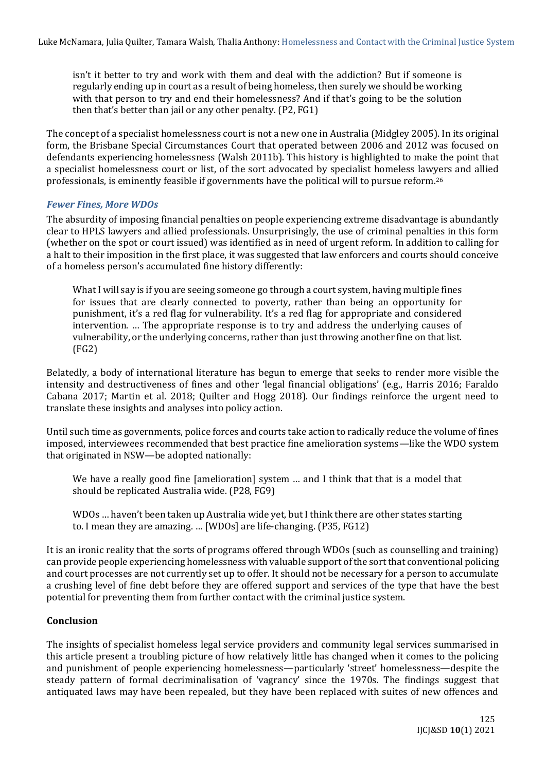isn't it better to try and work with them and deal with the addiction? But if someone is regularly ending up in court as a result of being homeless, then surely we should be working with that person to try and end their homelessness? And if that's going to be the solution then that's better than jail or any other penalty. (P2, FG1)

The concept of a specialist homelessness court is not a new one in Australia (Midgley 2005). In its original form, the Brisbane Special Circumstances Court that operated between 2006 and 2012 was focused on defendants experiencing homelessness (Walsh 2011b). This history is highlighted to make the point that a specialist homelessness court or list, of the sort advocated by specialist homeless lawyers and allied professionals, is eminently feasible if governments have the political will to pursue reform.<sup>26</sup>

## *Fewer Fines, More WDOs*

The absurdity of imposing financial penalties on people experiencing extreme disadvantage is abundantly clear to HPLS lawyers and allied professionals. Unsurprisingly, the use of criminal penalties in this form (whether on the spot or court issued) was identified as in need of urgent reform. In addition to calling for a halt to their imposition in the first place, it was suggested that law enforcers and courts should conceive of a homeless person's accumulated fine history differently:

What I will say is if you are seeing someone go through a court system, having multiple fines for issues that are clearly connected to poverty, rather than being an opportunity for punishment, it's a red flag for vulnerability. It's a red flag for appropriate and considered intervention. … The appropriate response is to try and address the underlying causes of vulnerability, or the underlying concerns, rather than just throwing another fine on that list. (FG2)

Belatedly, a body of international literature has begun to emerge that seeks to render more visible the intensity and destructiveness of fines and other 'legal financial obligations' (e.g., Harris 2016; Faraldo Cabana 2017; Martin et al. 2018; Quilter and Hogg 2018). Our findings reinforce the urgent need to translate these insights and analyses into policy action.

Until such time as governments, police forces and courts take action to radically reduce the volume of fines imposed, interviewees recommended that best practice fine amelioration systems—like the WDO system that originated in NSW—be adopted nationally:

We have a really good fine [amelioration] system ... and I think that that is a model that should be replicated Australia wide. (P28, FG9)

WDOs … haven't been taken up Australia wide yet, but I think there are other states starting to. I mean they are amazing. … [WDOs] are life-changing. (P35, FG12)

It is an ironic reality that the sorts of programs offered through WDOs (such as counselling and training) can provide people experiencing homelessness with valuable support of the sort that conventional policing and court processes are not currently set up to offer. It should not be necessary for a person to accumulate a crushing level of fine debt before they are offered support and services of the type that have the best potential for preventing them from further contact with the criminal justice system.

#### **Conclusion**

The insights of specialist homeless legal service providers and community legal services summarised in this article present a troubling picture of how relatively little has changed when it comes to the policing and punishment of people experiencing homelessness—particularly 'street' homelessness—despite the steady pattern of formal decriminalisation of 'vagrancy' since the 1970s. The findings suggest that antiquated laws may have been repealed, but they have been replaced with suites of new offences and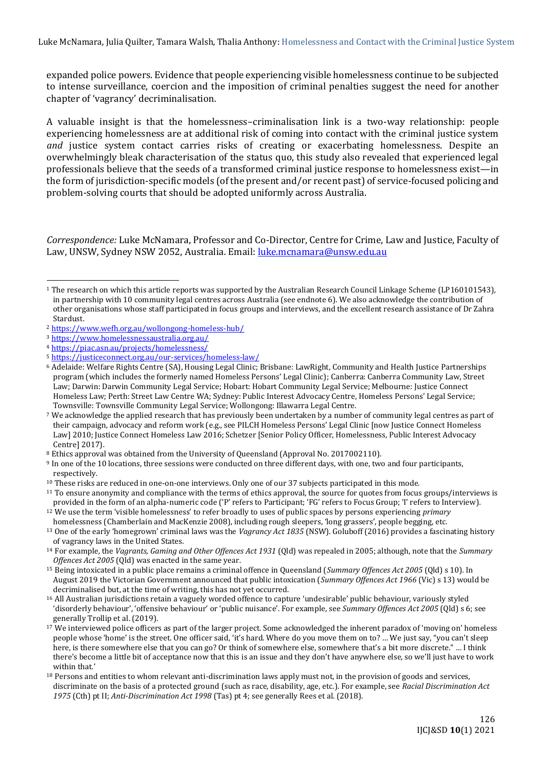expanded police powers. Evidence that people experiencing visible homelessness continue to be subjected to intense surveillance, coercion and the imposition of criminal penalties suggest the need for another chapter of 'vagrancy' decriminalisation.

A valuable insight is that the homelessness–criminalisation link is a two-way relationship: people experiencing homelessness are at additional risk of coming into contact with the criminal justice system *and* justice system contact carries risks of creating or exacerbating homelessness. Despite an overwhelmingly bleak characterisation of the status quo, this study also revealed that experienced legal professionals believe that the seeds of a transformed criminal justice response to homelessness exist—in the form of jurisdiction-specific models (of the present and/or recent past) of service-focused policing and problem-solving courts that should be adopted uniformly across Australia.

*Correspondence:* Luke McNamara, Professor and Co‐Director, Centre for Crime, Law and Justice, Faculty of Law, UNSW, Sydney NSW 2052, Australia. Email: [luke.mcnamara@unsw.edu.au](mailto:luke.mcnamara@unsw.edu.au)

<sup>1</sup> The research on which this article reports was supported by the Australian Research Council Linkage Scheme (LP160101543), in partnership with 10 community legal centres across Australia (see endnote 6). We also acknowledge the contribution of other organisations whose staff participated in focus groups and interviews, and the excellent research assistance of Dr Zahra Stardust.

<sup>2</sup> <https://www.wefh.org.au/wollongong-homeless-hub/>

<sup>3</sup> <https://www.homelessnessaustralia.org.au/>

<sup>4</sup> <https://piac.asn.au/projects/homelessness/>

<sup>5</sup> <https://justiceconnect.org.au/our-services/homeless-law/>

<sup>6</sup> Adelaide: Welfare Rights Centre (SA), Housing Legal Clinic; Brisbane: LawRight, Community and Health Justice Partnerships program (which includes the formerly named Homeless Persons' Legal Clinic); Canberra: Canberra Community Law, Street Law; Darwin: Darwin Community Legal Service; Hobart: Hobart Community Legal Service; Melbourne: Justice Connect Homeless Law; Perth: Street Law Centre WA; Sydney: Public Interest Advocacy Centre, Homeless Persons' Legal Service; Townsville: Townsville Community Legal Service; Wollongong: Illawarra Legal Centre.

<sup>7</sup> We acknowledge the applied research that has previously been undertaken by a number of community legal centres as part of their campaign, advocacy and reform work (e.g., see PILCH Homeless Persons' Legal Clinic [now Justice Connect Homeless Law] 2010; Justice Connect Homeless Law 2016; Schetzer [Senior Policy Officer, Homelessness, Public Interest Advocacy Centre] 2017).

<sup>8</sup> Ethics approval was obtained from the University of Queensland (Approval No. 2017002110).

<sup>9</sup> In one of the 10 locations, three sessions were conducted on three different days, with one, two and four participants, respectively.

<sup>10</sup> These risks are reduced in one-on-one interviews. Only one of our 37 subjects participated in this mode.

<sup>&</sup>lt;sup>11</sup> To ensure anonymity and compliance with the terms of ethics approval, the source for quotes from focus groups/interviews is provided in the form of an alpha-numeric code ('P' refers to Participant; 'FG' refers to Focus Group; 'I' refers to Interview). <sup>12</sup> We use the term 'visible homelessness' to refer broadly to uses of public spaces by persons experiencing *primary*

homelessness (Chamberlain and MacKenzie 2008), including rough sleepers, 'long grassers', people begging, etc.

<sup>13</sup> One of the early 'homegrown' criminal laws was the *Vagrancy Act 1835* (NSW). Goluboff (2016) provides a fascinating history of vagrancy laws in the United States.

<sup>14</sup> For example, the *Vagrants, Gaming and Other Offences Act 1931* (Qld) was repealed in 2005; although, note that the *Summary Offences Act 2005* (Qld) was enacted in the same year.

<sup>15</sup> Being intoxicated in a public place remains a criminal offence in Queensland (*Summary Offences Act 2005* (Qld) s 10). In August 2019 the Victorian Government announced that public intoxication (*Summary Offences Act 1966* (Vic) s 13) would be decriminalised but, at the time of writing, this has not yet occurred.

<sup>16</sup> All Australian jurisdictions retain a vaguely worded offence to capture 'undesirable' public behaviour, variously styled 'disorderly behaviour', 'offensive behaviour' or 'public nuisance'. For example, see *Summary Offences Act 2005* (Qld) s 6; see generally Trollip et al. (2019).

 $17$  We interviewed police officers as part of the larger project. Some acknowledged the inherent paradox of 'moving on' homeless people whose 'home' is the street. One officer said, 'it's hard. Where do you move them on to? … We just say, "you can't sleep here, is there somewhere else that you can go? Or think of somewhere else, somewhere that's a bit more discrete." … I think there's become a little bit of acceptance now that this is an issue and they don't have anywhere else, so we'll just have to work within that'

 $18$  Persons and entities to whom relevant anti-discrimination laws apply must not, in the provision of goods and services, discriminate on the basis of a protected ground (such as race, disability, age, etc.). For example, see *Racial Discrimination Act 1975* (Cth) pt II; *Anti-Discrimination Act 1998* (Tas) pt 4; see generally Rees et al. (2018).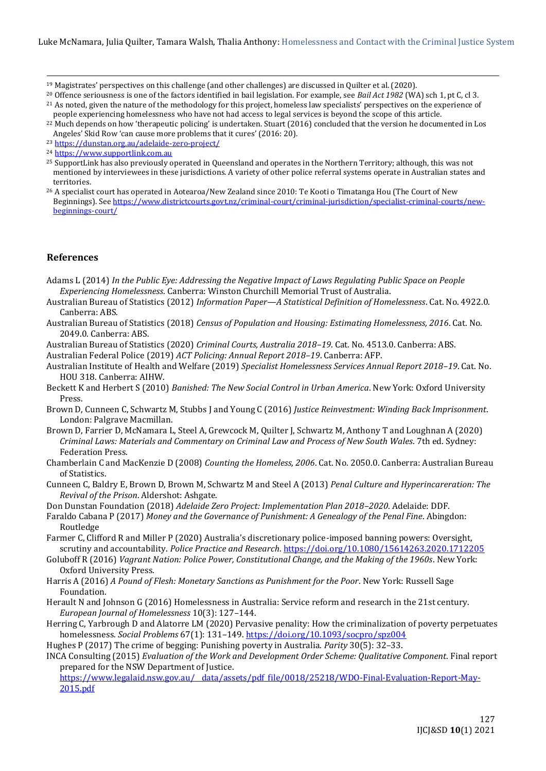- <sup>19</sup> Magistrates' perspectives on this challenge (and other challenges) are discussed in Quilter et al. (2020).
- <sup>20</sup> Offence seriousness is one of the factors identified in bail legislation. For example, see *Bail Act 1982* (WA) sch 1, pt C, cl 3.
- <sup>21</sup> As noted, given the nature of the methodology for this project, homeless law specialists' perspectives on the experience of people experiencing homelessness who have not had access to legal services is beyond the scope of this article.
- <sup>22</sup> Much depends on how 'therapeutic policing' is undertaken. Stuart (2016) concluded that the version he documented in Los Angeles' Skid Row 'can cause more problems that it cures' (2016: 20).
- <sup>23</sup> <https://dunstan.org.au/adelaide-zero-project/>
- <sup>24</sup> [https://www.supportlink.com.au](https://www.supportlink.com.au/)
- <sup>25</sup> SupportLink has also previously operated in Queensland and operates in the Northern Territory; although, this was not mentioned by interviewees in these jurisdictions. A variety of other police referral systems operate in Australian states and territories.
- <sup>26</sup> A specialist court has operated in Aotearoa/New Zealand since 2010: Te Kooti o Timatanga Hou (The Court of New Beginnings). Se[e https://www.districtcourts.govt.nz/criminal-court/criminal-jurisdiction/specialist-criminal-courts/new](https://www.districtcourts.govt.nz/criminal-court/criminal-jurisdiction/specialist-criminal-courts/new-beginnings-court/)[beginnings-court/](https://www.districtcourts.govt.nz/criminal-court/criminal-jurisdiction/specialist-criminal-courts/new-beginnings-court/)

#### **References**

Adams L (2014) *In the Public Eye: Addressing the Negative Impact of Laws Regulating Public Space on People Experiencing Homelessness*. Canberra: Winston Churchill Memorial Trust of Australia.

- Australian Bureau of Statistics (2012) *Information Paper—A Statistical Definition of Homelessness*. Cat. No. 4922.0. Canberra: ABS.
- Australian Bureau of Statistics (2018) *Census of Population and Housing: Estimating Homelessness, 2016*. Cat. No. 2049.0. Canberra: ABS.

Australian Bureau of Statistics (2020) *Criminal Courts, Australia 2018–19*. Cat. No. 4513.0. Canberra: ABS. Australian Federal Police (2019) *ACT Policing: Annual Report 2018–19*. Canberra: AFP.

Australian Institute of Health and Welfare (2019) *Specialist Homelessness Services Annual Report 2018–19*. Cat. No. HOU 318. Canberra: AIHW.

- Beckett K and Herbert S (2010) *Banished: The New Social Control in Urban America*. New York: Oxford University Press.
- Brown D, Cunneen C, Schwartz M, Stubbs J and Young C (2016) *Justice Reinvestment: Winding Back Imprisonment*. London: Palgrave Macmillan.
- Brown D, Farrier D, McNamara L, Steel A, Grewcock M, Quilter J, Schwartz M, Anthony T and Loughnan A (2020) *Criminal Laws: Materials and Commentary on Criminal Law and Process of New South Wales*. 7th ed. Sydney: Federation Press.
- Chamberlain C and MacKenzie D (2008) *Counting the Homeless, 2006*. Cat. No. 2050.0. Canberra: Australian Bureau of Statistics.
- Cunneen C, Baldry E, Brown D, Brown M, Schwartz M and Steel A (2013) *Penal Culture and Hyperincareration: The Revival of the Prison*. Aldershot: Ashgate.
- Don Dunstan Foundation (2018) *Adelaide Zero Project: Implementation Plan 2018–2020*. Adelaide: DDF.
- Faraldo Cabana P (2017) *Money and the Governance of Punishment: A Genealogy of the Penal Fine*. Abingdon: Routledge
- Farmer C, Clifford R and Miller P (2020) Australia's discretionary police-imposed banning powers: Oversight, scrutiny and accountability. *Police Practice and Research*[. https://doi.org/10.1080/15614263.2020.1712205](https://doi.org/10.1080/15614263.2020.1712205)
- Goluboff R (2016) *Vagrant Nation: Police Power, Constitutional Change, and the Making of the 1960s*. New York: Oxford University Press.
- Harris A (2016) *A Pound of Flesh: Monetary Sanctions as Punishment for the Poor*. New York: Russell Sage Foundation.
- Herault N and Johnson G (2016) Homelessness in Australia: Service reform and research in the 21st century. *European Journal of Homelessness* 10(3): 127*–*144.
- Herring C, Yarbrough D and Alatorre LM (2020) Pervasive penality: How the criminalization of poverty perpetuates homelessness. *Social Problems* 67(1): 131*–*149[. https://doi.org/10.1093/socpro/spz004](https://doi.org/10.1093/socpro/spz004)

Hughes P (2017) The crime of begging: Punishing poverty in Australia. *Parity* 30(5): 32*–*33.

INCA Consulting (2015) *Evaluation of the Work and Development Order Scheme: Qualitative Component*. Final report prepared for the NSW Department of Justice.

https://www.legalaid.nsw.gov.au/\_data/assets/pdf\_file/0018/25218/WDO-Final-Evaluation-Report-May-[2015.pdf](https://www.legalaid.nsw.gov.au/__data/assets/pdf_file/0018/25218/WDO-Final-Evaluation-Report-May-2015.pdf)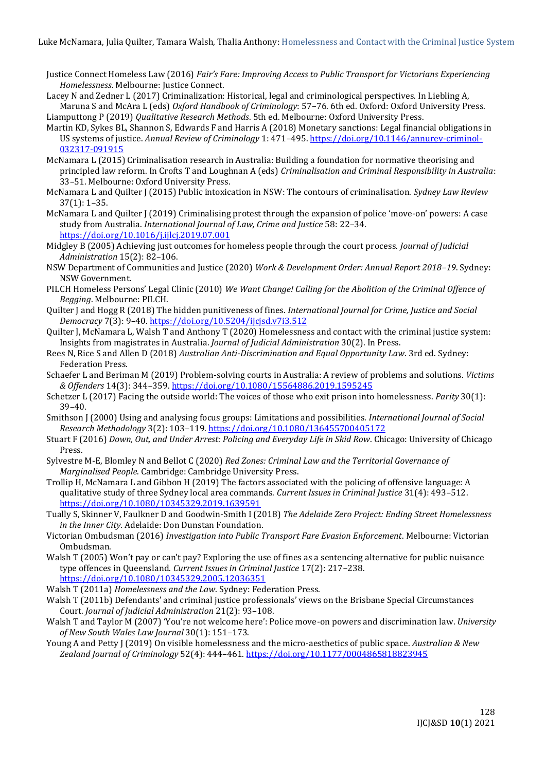- Justice Connect Homeless Law (2016) *Fair's Fare: Improving Access to Public Transport for Victorians Experiencing Homelessness*. Melbourne: Justice Connect.
- Lacey N and Zedner L (2017) Criminalization: Historical, legal and criminological perspectives. In Liebling A, Maruna S and McAra L (eds) *Oxford Handbook of Criminology*: 57–76. 6th ed. Oxford: Oxford University Press. Liamputtong P (2019) *Qualitative Research Methods*. 5th ed. Melbourne: Oxford University Press.
- Martin KD, Sykes BL, Shannon S, Edwards F and Harris A (2018) Monetary sanctions: Legal financial obligations in US systems of justice. *Annual Review of Criminology* 1: 471*–*495[. https://doi.org/10.1146/annurev-criminol-](https://doi.org/10.1146/annurev-criminol-032317-091915)[032317-091915](https://doi.org/10.1146/annurev-criminol-032317-091915)
- McNamara L (2015) Criminalisation research in Australia: Building a foundation for normative theorising and principled law reform. In Crofts T and Loughnan A (eds) *Criminalisation and Criminal Responsibility in Australia*: 33*–*51. Melbourne: Oxford University Press.
- McNamara L and Quilter J (2015) Public intoxication in NSW: The contours of criminalisation. *Sydney Law Review* 37(1): 1*–*35.
- McNamara L and Quilter J (2019) Criminalising protest through the expansion of police 'move-on' powers: A case study from Australia. *International Journal of Law, Crime and Justice* 58: 22*–*34. <https://doi.org/10.1016/j.ijlcj.2019.07.001>
- Midgley B (2005) Achieving just outcomes for homeless people through the court process. *Journal of Judicial Administration* 15(2): 82*–*106.
- NSW Department of Communities and Justice (2020) *Work & Development Order: Annual Report 2018–19*. Sydney: NSW Government.
- PILCH Homeless Persons' Legal Clinic (2010) *We Want Change! Calling for the Abolition of the Criminal Offence of Begging*. Melbourne: PILCH.
- Quilter J and Hogg R (2018) The hidden punitiveness of fines. *International Journal for Crime, Justice and Social Democracy* 7(3): 9*–*40[. https://doi.org/10.5204/ijcjsd.v7i3.512](https://doi.org/10.5204/ijcjsd.v7i3.512)
- Quilter J, McNamara L, Walsh T and Anthony T (2020) Homelessness and contact with the criminal justice system: Insights from magistrates in Australia. *Journal of Judicial Administration* 30(2). In Press.
- Rees N, Rice S and Allen D (2018) *Australian Anti-Discrimination and Equal Opportunity Law*. 3rd ed. Sydney: Federation Press.
- Schaefer L and Beriman M (2019) Problem-solving courts in Australia: A review of problems and solutions. *Victims & Offenders* 14(3): 344*–*359[. https://doi.org/10.1080/15564886.2019.1595245](https://doi.org/10.1080/15564886.2019.1595245)
- Schetzer L (2017) Facing the outside world: The voices of those who exit prison into homelessness. *Parity* 30(1): 39*–*40.
- Smithson J (2000) Using and analysing focus groups: Limitations and possibilities. *International Journal of Social Research Methodology* 3(2): 103*–*119[. https://doi.org/10.1080/136455700405172](https://doi.org/10.1080/136455700405172)
- Stuart F (2016) *Down, Out, and Under Arrest: Policing and Everyday Life in Skid Row*. Chicago: University of Chicago Press.
- Sylvestre M-E, Blomley N and Bellot C (2020) *Red Zones: Criminal Law and the Territorial Governance of Marginalised People*. Cambridge: Cambridge University Press.
- Trollip H, McNamara L and Gibbon H (2019) The factors associated with the policing of offensive language: A qualitative study of three Sydney local area commands. *Current Issues in Criminal Justice* 31(4): 493*–*512. <https://doi.org/10.1080/10345329.2019.1639591>
- Tually S, Skinner V, Faulkner D and Goodwin-Smith I (2018) *The Adelaide Zero Project: Ending Street Homelessness in the Inner City*. Adelaide: Don Dunstan Foundation.
- Victorian Ombudsman (2016) *Investigation into Public Transport Fare Evasion Enforcement*. Melbourne: Victorian Ombudsman.
- Walsh T (2005) Won't pay or can't pay? Exploring the use of fines as a sentencing alternative for public nuisance type offences in Queensland. *Current Issues in Criminal Justice* 17(2): 217*–*238. <https://doi.org/10.1080/10345329.2005.12036351>
- Walsh T (2011a) *Homelessness and the Law*. Sydney: Federation Press.
- Walsh T (2011b) Defendants' and criminal justice professionals' views on the Brisbane Special Circumstances Court. *Journal of Judicial Administration* 21(2): 93–108.
- Walsh T and Taylor M (2007) 'You're not welcome here': Police move-on powers and discrimination law. *University of New South Wales Law Journal* 30(1): 151*–*173.
- Young A and Petty J (2019) On visible homelessness and the micro-aesthetics of public space. *Australian & New Zealand Journal of Criminology* 52(4): 444–461[. https://doi.org/10.1177/0004865818823945](https://unsw-my.sharepoint.com/personal/z3469014_ad_unsw_edu_au/Documents/1%20RESEARCH/HOMELESSNESS%20&%20POVERTY/PAPERS%20AND%20PRESENTATIONS/10.1177%2525252F0004865818823945)